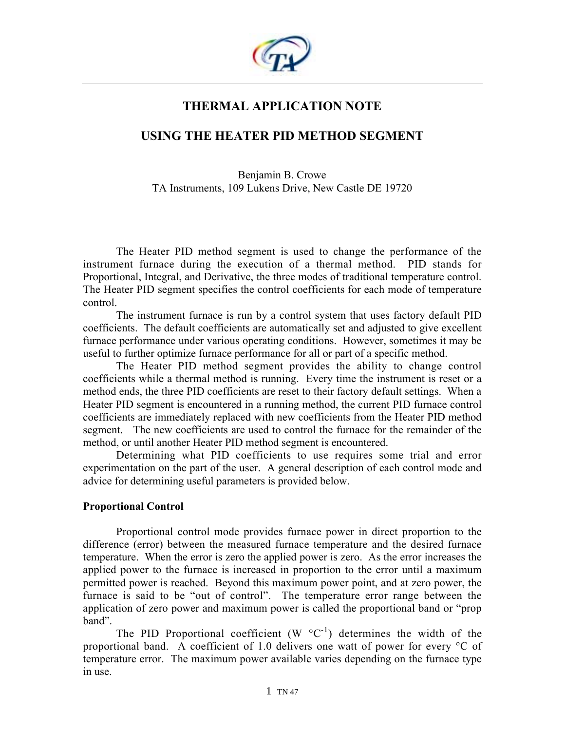

# **THERMAL APPLICATION NOTE**

## **USING THE HEATER PID METHOD SEGMENT**

Benjamin B. Crowe TA Instruments, 109 Lukens Drive, New Castle DE 19720

The Heater PID method segment is used to change the performance of the instrument furnace during the execution of a thermal method. PID stands for Proportional, Integral, and Derivative, the three modes of traditional temperature control. The Heater PID segment specifies the control coefficients for each mode of temperature control.

 The instrument furnace is run by a control system that uses factory default PID coefficients. The default coefficients are automatically set and adjusted to give excellent furnace performance under various operating conditions. However, sometimes it may be useful to further optimize furnace performance for all or part of a specific method.

The Heater PID method segment provides the ability to change control coefficients while a thermal method is running. Every time the instrument is reset or a method ends, the three PID coefficients are reset to their factory default settings. When a Heater PID segment is encountered in a running method, the current PID furnace control coefficients are immediately replaced with new coefficients from the Heater PID method segment. The new coefficients are used to control the furnace for the remainder of the method, or until another Heater PID method segment is encountered.

 Determining what PID coefficients to use requires some trial and error experimentation on the part of the user. A general description of each control mode and advice for determining useful parameters is provided below.

### **Proportional Control**

Proportional control mode provides furnace power in direct proportion to the difference (error) between the measured furnace temperature and the desired furnace temperature. When the error is zero the applied power is zero. As the error increases the applied power to the furnace is increased in proportion to the error until a maximum permitted power is reached. Beyond this maximum power point, and at zero power, the furnace is said to be "out of control". The temperature error range between the application of zero power and maximum power is called the proportional band or "prop band".

The PID Proportional coefficient  $(W^{\circ}C^{-1})$  determines the width of the proportional band. A coefficient of 1.0 delivers one watt of power for every °C of temperature error. The maximum power available varies depending on the furnace type in use.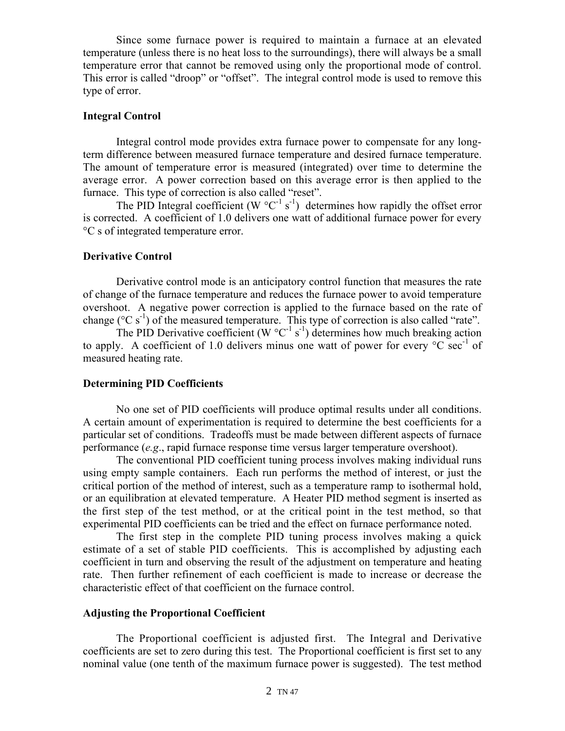Since some furnace power is required to maintain a furnace at an elevated temperature (unless there is no heat loss to the surroundings), there will always be a small temperature error that cannot be removed using only the proportional mode of control. This error is called "droop" or "offset". The integral control mode is used to remove this type of error.

#### **Integral Control**

Integral control mode provides extra furnace power to compensate for any longterm difference between measured furnace temperature and desired furnace temperature. The amount of temperature error is measured (integrated) over time to determine the average error. A power correction based on this average error is then applied to the furnace. This type of correction is also called "reset".

The PID Integral coefficient (W  $^{\circ}$ C<sup>-1</sup> s<sup>-1</sup>) determines how rapidly the offset error is corrected. A coefficient of 1.0 delivers one watt of additional furnace power for every °C s of integrated temperature error.

#### **Derivative Control**

Derivative control mode is an anticipatory control function that measures the rate of change of the furnace temperature and reduces the furnace power to avoid temperature overshoot. A negative power correction is applied to the furnace based on the rate of change ( ${}^{\circ}C$  s<sup>-1</sup>) of the measured temperature. This type of correction is also called "rate".

The PID Derivative coefficient (W  $^{\circ}C^{-1}$  s<sup>-1</sup>) determines how much breaking action to apply. A coefficient of 1.0 delivers minus one watt of power for every  $\rm{^{\circ}C}$  sec<sup>-1</sup> of measured heating rate.

#### **Determining PID Coefficients**

No one set of PID coefficients will produce optimal results under all conditions. A certain amount of experimentation is required to determine the best coefficients for a particular set of conditions. Tradeoffs must be made between different aspects of furnace performance (*e.g*., rapid furnace response time versus larger temperature overshoot).

 The conventional PID coefficient tuning process involves making individual runs using empty sample containers. Each run performs the method of interest, or just the critical portion of the method of interest, such as a temperature ramp to isothermal hold, or an equilibration at elevated temperature. A Heater PID method segment is inserted as the first step of the test method, or at the critical point in the test method, so that experimental PID coefficients can be tried and the effect on furnace performance noted.

The first step in the complete PID tuning process involves making a quick estimate of a set of stable PID coefficients. This is accomplished by adjusting each coefficient in turn and observing the result of the adjustment on temperature and heating rate. Then further refinement of each coefficient is made to increase or decrease the characteristic effect of that coefficient on the furnace control.

#### **Adjusting the Proportional Coefficient**

The Proportional coefficient is adjusted first. The Integral and Derivative coefficients are set to zero during this test. The Proportional coefficient is first set to any nominal value (one tenth of the maximum furnace power is suggested). The test method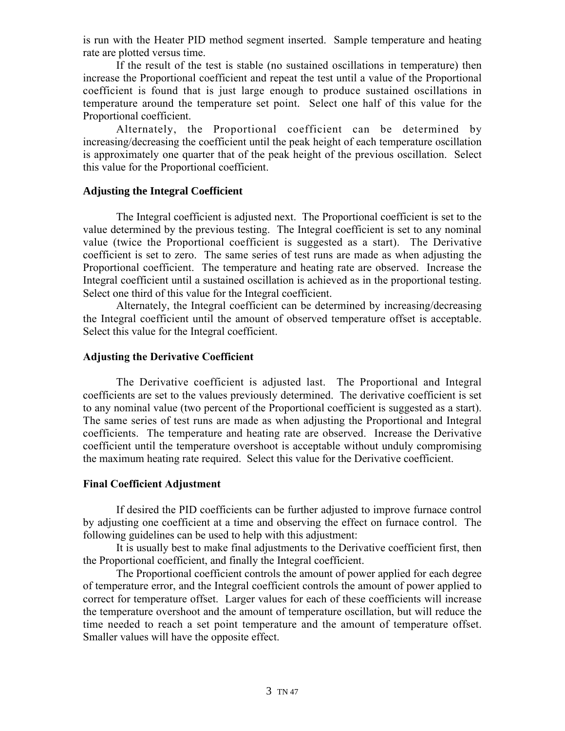is run with the Heater PID method segment inserted. Sample temperature and heating rate are plotted versus time.

If the result of the test is stable (no sustained oscillations in temperature) then increase the Proportional coefficient and repeat the test until a value of the Proportional coefficient is found that is just large enough to produce sustained oscillations in temperature around the temperature set point. Select one half of this value for the Proportional coefficient.

Alternately, the Proportional coefficient can be determined by increasing/decreasing the coefficient until the peak height of each temperature oscillation is approximately one quarter that of the peak height of the previous oscillation. Select this value for the Proportional coefficient.

## **Adjusting the Integral Coefficient**

The Integral coefficient is adjusted next. The Proportional coefficient is set to the value determined by the previous testing. The Integral coefficient is set to any nominal value (twice the Proportional coefficient is suggested as a start). The Derivative coefficient is set to zero. The same series of test runs are made as when adjusting the Proportional coefficient. The temperature and heating rate are observed. Increase the Integral coefficient until a sustained oscillation is achieved as in the proportional testing. Select one third of this value for the Integral coefficient.

Alternately, the Integral coefficient can be determined by increasing/decreasing the Integral coefficient until the amount of observed temperature offset is acceptable. Select this value for the Integral coefficient.

## **Adjusting the Derivative Coefficient**

The Derivative coefficient is adjusted last. The Proportional and Integral coefficients are set to the values previously determined. The derivative coefficient is set to any nominal value (two percent of the Proportional coefficient is suggested as a start). The same series of test runs are made as when adjusting the Proportional and Integral coefficients. The temperature and heating rate are observed. Increase the Derivative coefficient until the temperature overshoot is acceptable without unduly compromising the maximum heating rate required. Select this value for the Derivative coefficient.

## **Final Coefficient Adjustment**

If desired the PID coefficients can be further adjusted to improve furnace control by adjusting one coefficient at a time and observing the effect on furnace control. The following guidelines can be used to help with this adjustment:

It is usually best to make final adjustments to the Derivative coefficient first, then the Proportional coefficient, and finally the Integral coefficient.

The Proportional coefficient controls the amount of power applied for each degree of temperature error, and the Integral coefficient controls the amount of power applied to correct for temperature offset. Larger values for each of these coefficients will increase the temperature overshoot and the amount of temperature oscillation, but will reduce the time needed to reach a set point temperature and the amount of temperature offset. Smaller values will have the opposite effect.